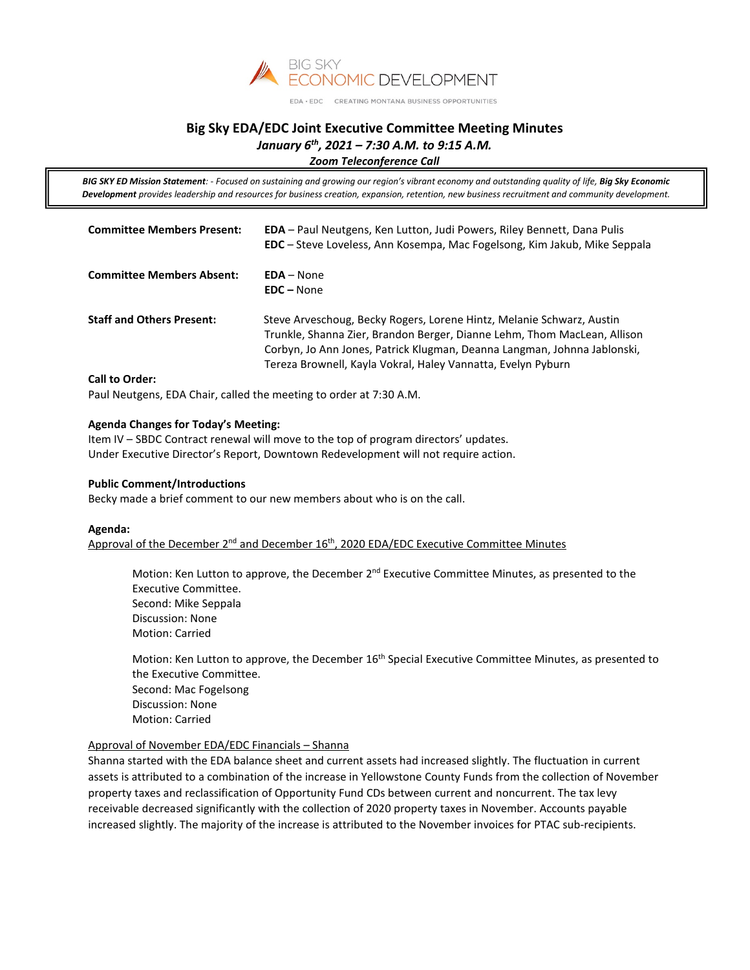

#### EDA · EDC CREATING MONTANA BUSINESS OPPORTUNITIES

# **Big Sky EDA/EDC Joint Executive Committee Meeting Minutes** *January 6th, 2021 – 7:30 A.M. to 9:15 A.M.*

*Zoom Teleconference Call*

*BIG SKY ED Mission Statement: - Focused on sustaining and growing our region's vibrant economy and outstanding quality of life, Big Sky Economic Development provides leadership and resources for business creation, expansion, retention, new business recruitment and community development.*

| <b>Committee Members Present:</b> | <b>EDA</b> – Paul Neutgens, Ken Lutton, Judi Powers, Riley Bennett, Dana Pulis<br><b>EDC</b> – Steve Loveless, Ann Kosempa, Mac Fogelsong, Kim Jakub, Mike Seppala                                                                                                                            |
|-----------------------------------|-----------------------------------------------------------------------------------------------------------------------------------------------------------------------------------------------------------------------------------------------------------------------------------------------|
| <b>Committee Members Absent:</b>  | $EDA - None$<br>$EDC - None$                                                                                                                                                                                                                                                                  |
| <b>Staff and Others Present:</b>  | Steve Arveschoug, Becky Rogers, Lorene Hintz, Melanie Schwarz, Austin<br>Trunkle, Shanna Zier, Brandon Berger, Dianne Lehm, Thom MacLean, Allison<br>Corbyn, Jo Ann Jones, Patrick Klugman, Deanna Langman, Johnna Jablonski,<br>Tereza Brownell, Kayla Vokral, Haley Vannatta, Evelyn Pyburn |
| <b>Call to Order:</b>             |                                                                                                                                                                                                                                                                                               |

Paul Neutgens, EDA Chair, called the meeting to order at 7:30 A.M.

### **Agenda Changes for Today's Meeting:**

Item IV – SBDC Contract renewal will move to the top of program directors' updates. Under Executive Director's Report, Downtown Redevelopment will not require action.

#### **Public Comment/Introductions**

Becky made a brief comment to our new members about who is on the call.

#### **Agenda:**

Approval of the December  $2^{nd}$  and December  $16<sup>th</sup>$ , 2020 EDA/EDC Executive Committee Minutes

Motion: Ken Lutton to approve, the December 2<sup>nd</sup> Executive Committee Minutes, as presented to the Executive Committee. Second: Mike Seppala Discussion: None Motion: Carried

Motion: Ken Lutton to approve, the December 16<sup>th</sup> Special Executive Committee Minutes, as presented to the Executive Committee. Second: Mac Fogelsong Discussion: None Motion: Carried

# Approval of November EDA/EDC Financials – Shanna

Shanna started with the EDA balance sheet and current assets had increased slightly. The fluctuation in current assets is attributed to a combination of the increase in Yellowstone County Funds from the collection of November property taxes and reclassification of Opportunity Fund CDs between current and noncurrent. The tax levy receivable decreased significantly with the collection of 2020 property taxes in November. Accounts payable increased slightly. The majority of the increase is attributed to the November invoices for PTAC sub-recipients.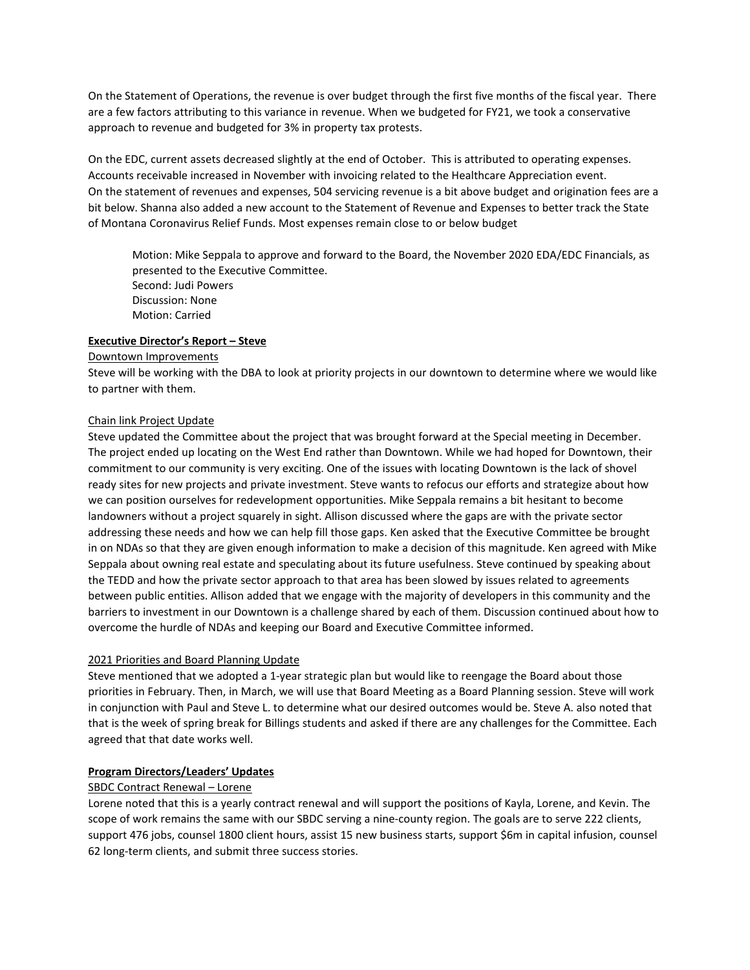On the Statement of Operations, the revenue is over budget through the first five months of the fiscal year. There are a few factors attributing to this variance in revenue. When we budgeted for FY21, we took a conservative approach to revenue and budgeted for 3% in property tax protests.

On the EDC, current assets decreased slightly at the end of October. This is attributed to operating expenses. Accounts receivable increased in November with invoicing related to the Healthcare Appreciation event. On the statement of revenues and expenses, 504 servicing revenue is a bit above budget and origination fees are a bit below. Shanna also added a new account to the Statement of Revenue and Expenses to better track the State of Montana Coronavirus Relief Funds. Most expenses remain close to or below budget

Motion: Mike Seppala to approve and forward to the Board, the November 2020 EDA/EDC Financials, as presented to the Executive Committee. Second: Judi Powers Discussion: None Motion: Carried

### **Executive Director's Report – Steve**

### Downtown Improvements

Steve will be working with the DBA to look at priority projects in our downtown to determine where we would like to partner with them.

### Chain link Project Update

Steve updated the Committee about the project that was brought forward at the Special meeting in December. The project ended up locating on the West End rather than Downtown. While we had hoped for Downtown, their commitment to our community is very exciting. One of the issues with locating Downtown is the lack of shovel ready sites for new projects and private investment. Steve wants to refocus our efforts and strategize about how we can position ourselves for redevelopment opportunities. Mike Seppala remains a bit hesitant to become landowners without a project squarely in sight. Allison discussed where the gaps are with the private sector addressing these needs and how we can help fill those gaps. Ken asked that the Executive Committee be brought in on NDAs so that they are given enough information to make a decision of this magnitude. Ken agreed with Mike Seppala about owning real estate and speculating about its future usefulness. Steve continued by speaking about the TEDD and how the private sector approach to that area has been slowed by issues related to agreements between public entities. Allison added that we engage with the majority of developers in this community and the barriers to investment in our Downtown is a challenge shared by each of them. Discussion continued about how to overcome the hurdle of NDAs and keeping our Board and Executive Committee informed.

# 2021 Priorities and Board Planning Update

Steve mentioned that we adopted a 1-year strategic plan but would like to reengage the Board about those priorities in February. Then, in March, we will use that Board Meeting as a Board Planning session. Steve will work in conjunction with Paul and Steve L. to determine what our desired outcomes would be. Steve A. also noted that that is the week of spring break for Billings students and asked if there are any challenges for the Committee. Each agreed that that date works well.

# **Program Directors/Leaders' Updates**

# SBDC Contract Renewal – Lorene

Lorene noted that this is a yearly contract renewal and will support the positions of Kayla, Lorene, and Kevin. The scope of work remains the same with our SBDC serving a nine-county region. The goals are to serve 222 clients, support 476 jobs, counsel 1800 client hours, assist 15 new business starts, support \$6m in capital infusion, counsel 62 long-term clients, and submit three success stories.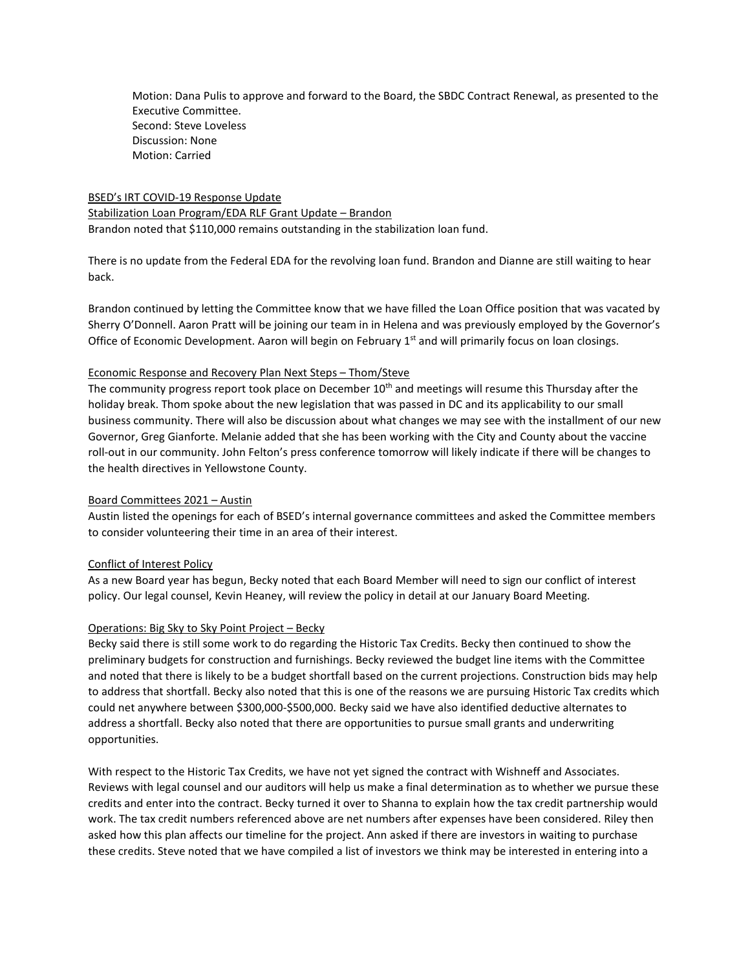Motion: Dana Pulis to approve and forward to the Board, the SBDC Contract Renewal, as presented to the Executive Committee. Second: Steve Loveless Discussion: None Motion: Carried

BSED's IRT COVID-19 Response Update Stabilization Loan Program/EDA RLF Grant Update – Brandon Brandon noted that \$110,000 remains outstanding in the stabilization loan fund.

There is no update from the Federal EDA for the revolving loan fund. Brandon and Dianne are still waiting to hear back.

Brandon continued by letting the Committee know that we have filled the Loan Office position that was vacated by Sherry O'Donnell. Aaron Pratt will be joining our team in in Helena and was previously employed by the Governor's Office of Economic Development. Aaron will begin on February  $1<sup>st</sup>$  and will primarily focus on loan closings.

### Economic Response and Recovery Plan Next Steps – Thom/Steve

The community progress report took place on December 10<sup>th</sup> and meetings will resume this Thursday after the holiday break. Thom spoke about the new legislation that was passed in DC and its applicability to our small business community. There will also be discussion about what changes we may see with the installment of our new Governor, Greg Gianforte. Melanie added that she has been working with the City and County about the vaccine roll-out in our community. John Felton's press conference tomorrow will likely indicate if there will be changes to the health directives in Yellowstone County.

# Board Committees 2021 – Austin

Austin listed the openings for each of BSED's internal governance committees and asked the Committee members to consider volunteering their time in an area of their interest.

# Conflict of Interest Policy

As a new Board year has begun, Becky noted that each Board Member will need to sign our conflict of interest policy. Our legal counsel, Kevin Heaney, will review the policy in detail at our January Board Meeting.

#### Operations: Big Sky to Sky Point Project – Becky

Becky said there is still some work to do regarding the Historic Tax Credits. Becky then continued to show the preliminary budgets for construction and furnishings. Becky reviewed the budget line items with the Committee and noted that there is likely to be a budget shortfall based on the current projections. Construction bids may help to address that shortfall. Becky also noted that this is one of the reasons we are pursuing Historic Tax credits which could net anywhere between \$300,000-\$500,000. Becky said we have also identified deductive alternates to address a shortfall. Becky also noted that there are opportunities to pursue small grants and underwriting opportunities.

With respect to the Historic Tax Credits, we have not yet signed the contract with Wishneff and Associates. Reviews with legal counsel and our auditors will help us make a final determination as to whether we pursue these credits and enter into the contract. Becky turned it over to Shanna to explain how the tax credit partnership would work. The tax credit numbers referenced above are net numbers after expenses have been considered. Riley then asked how this plan affects our timeline for the project. Ann asked if there are investors in waiting to purchase these credits. Steve noted that we have compiled a list of investors we think may be interested in entering into a